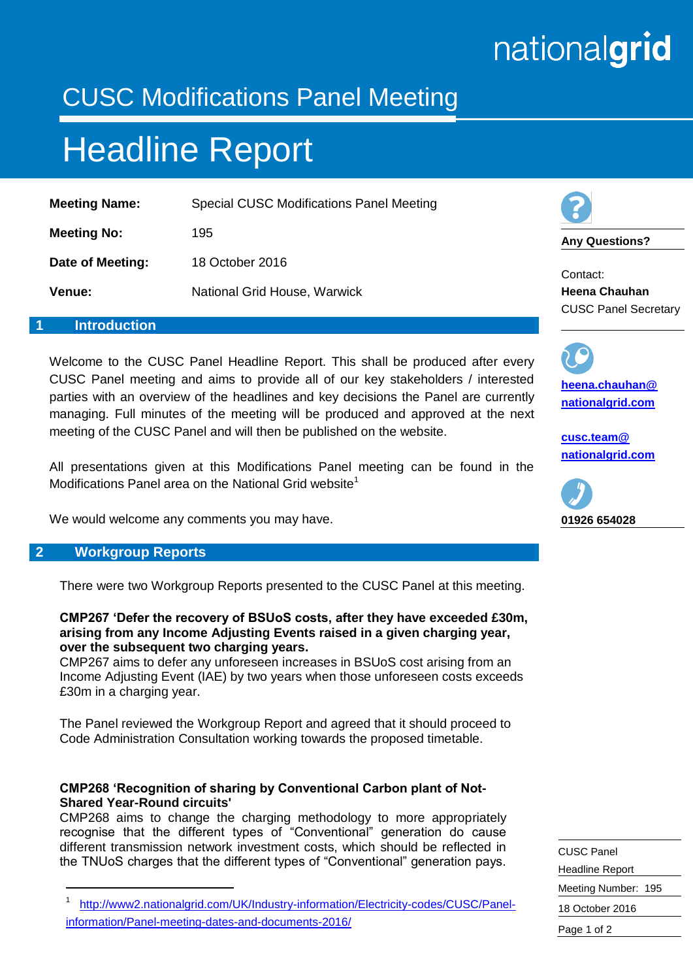# nationalgrid

### CUSC Modifications Panel Meeting

## Headline Report

| <b>Meeting Name:</b> | <b>Special CUSC Modifications Panel Meeting</b> |
|----------------------|-------------------------------------------------|
| <b>Meeting No:</b>   | 195                                             |
| Date of Meeting:     | 18 October 2016                                 |
| Venue:               | National Grid House, Warwick                    |

#### **1 Introduction**

Welcome to the CUSC Panel Headline Report. This shall be produced after every CUSC Panel meeting and aims to provide all of our key stakeholders / interested parties with an overview of the headlines and key decisions the Panel are currently managing. Full minutes of the meeting will be produced and approved at the next meeting of the CUSC Panel and will then be published on the website.

All presentations given at this Modifications Panel meeting can be found in the Modifications Panel area on the National Grid website<sup>1</sup>

We would welcome any comments you may have.

#### **2 Workgroup Reports**

-

There were two Workgroup Reports presented to the CUSC Panel at this meeting.

**CMP267 'Defer the recovery of BSUoS costs, after they have exceeded £30m, arising from any Income Adjusting Events raised in a given charging year, over the subsequent two charging years.**

CMP267 aims to defer any unforeseen increases in BSUoS cost arising from an Income Adjusting Event (IAE) by two years when those unforeseen costs exceeds £30m in a charging year.

The Panel reviewed the Workgroup Report and agreed that it should proceed to Code Administration Consultation working towards the proposed timetable.

#### **CMP268 'Recognition of sharing by Conventional Carbon plant of Not-Shared Year-Round circuits'**

CMP268 aims to change the charging methodology to more appropriately recognise that the different types of "Conventional" generation do cause different transmission network investment costs, which should be reflected in the TNUoS charges that the different types of "Conventional" generation pays.



**Any Questions?**

Contact: **Heena Chauhan** CUSC Panel Secretary

**[heena.chauhan@](mailto:heena.chauhan@%0Bnationalgrid.com) [nationalgrid.com](mailto:heena.chauhan@%0Bnationalgrid.com)**

**[cusc.team@](mailto:cusc.team@%20nationalgrid.com)  [nationalgrid.com](mailto:cusc.team@%20nationalgrid.com)**



| <b>CUSC Panel</b>      |
|------------------------|
| <b>Headline Report</b> |
| Meeting Number: 195    |
| 18 October 2016        |
| Page 1 of 2            |

<sup>1</sup> [http://www2.nationalgrid.com/UK/Industry-information/Electricity-codes/CUSC/Panel](http://www2.nationalgrid.com/UK/Industry-information/Electricity-codes/CUSC/Panel-information/Panel-meeting-dates-and-documents-2016/)[information/Panel-meeting-dates-and-documents-2016/](http://www2.nationalgrid.com/UK/Industry-information/Electricity-codes/CUSC/Panel-information/Panel-meeting-dates-and-documents-2016/)